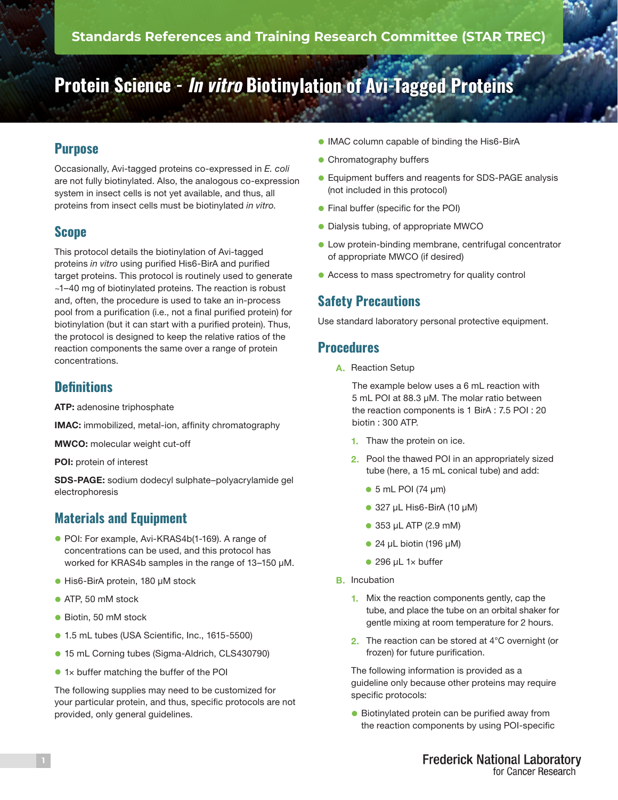# **Protein Science - In vitro Biotinylation of Avi-Tagged Proteins**

# **Purpose**

Occasionally, Avi-tagged proteins co-expressed in *E. coli* are not fully biotinylated. Also, the analogous co-expression system in insect cells is not yet available, and thus, all proteins from insect cells must be biotinylated *in vitro*.

### **Scope**

This protocol details the biotinylation of Avi-tagged proteins *in vitro* using purified His6-BirA and purified target proteins. This protocol is routinely used to generate ~1–40 mg of biotinylated proteins. The reaction is robust and, often, the procedure is used to take an in-process pool from a purification (i.e., not a final purified protein) for biotinylation (but it can start with a purified protein). Thus, the protocol is designed to keep the relative ratios of the reaction components the same over a range of protein concentrations.

### **Definitions**

ATP: adenosine triphosphate

IMAC: immobilized, metal-ion, affinity chromatography

MWCO: molecular weight cut-off

POI: protein of interest

SDS-PAGE: sodium dodecyl sulphate–polyacrylamide gel electrophoresis

# **Materials and Equipment**

- **POI: For example, Avi-KRAS4b(1-169). A range of** concentrations can be used, and this protocol has worked for KRAS4b samples in the range of 13–150 µM.
- His6-BirA protein, 180 µM stock
- **ATP, 50 mM stock**
- Biotin, 50 mM stock
- 1.5 mL tubes (USA Scientific, Inc., 1615-5500)
- 15 mL Corning tubes (Sigma-Aldrich, CLS430790)
- 1× buffer matching the buffer of the POI

The following supplies may need to be customized for your particular protein, and thus, specific protocols are not provided, only general guidelines.

- **.** IMAC column capable of binding the His6-BirA
- **Chromatography buffers**
- **Equipment buffers and reagents for SDS-PAGE analysis** (not included in this protocol)
- **•** Final buffer (specific for the POI)
- **•** Dialysis tubing, of appropriate MWCO
- **Low protein-binding membrane, centrifugal concentrator** of appropriate MWCO (if desired)
- Access to mass spectrometry for quality control

### **Safety Precautions**

Use standard laboratory personal protective equipment.

#### **Procedures**

A. Reaction Setup

The example below uses a 6 mL reaction with 5 mL POI at 88.3 µM. The molar ratio between the reaction components is 1 BirA : 7.5 POI : 20 biotin : 300 ATP.

- 1. Thaw the protein on ice.
- 2. Pool the thawed POI in an appropriately sized tube (here, a 15 mL conical tube) and add:
	- $\bullet$  5 mL POI (74 µm)
	- $\bullet$  327 µL His6-BirA (10 µM)
	- $\bullet$  353 µL ATP (2.9 mM)
	- $\bullet$  24 µL biotin (196 µM)
	- $\bullet$  296 µL 1× buffer
- B. Incubation
	- 1. Mix the reaction components gently, cap the tube, and place the tube on an orbital shaker for gentle mixing at room temperature for 2 hours.
	- 2. The reaction can be stored at 4°C overnight (or frozen) for future purification.

The following information is provided as a guideline only because other proteins may require specific protocols:

● Biotinylated protein can be purified away from the reaction components by using POI-specific